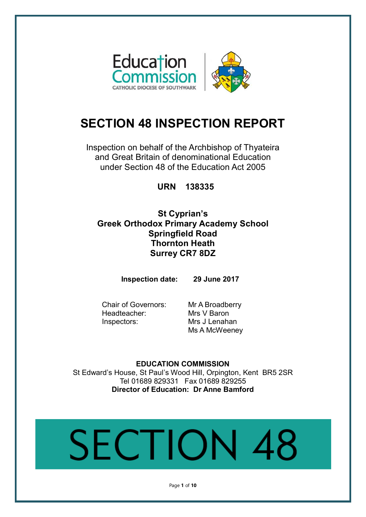

## **SECTION 48 INSPECTION REPORT**

Inspection on behalf of the Archbishop of Thyateira and Great Britain of denominational Education under Section 48 of the Education Act 2005

**URN 138335**

**St Cyprian's Greek Orthodox Primary Academy School Springfield Road Thornton Heath Surrey CR7 8DZ**

**Inspection date: 29 June 2017**

Chair of Governors: Mr A Broadberry Headteacher: Mrs V Baron Inspectors: Mrs J Lenahan

Ms A McWeeney

**EDUCATION COMMISSION** St Edward's House, St Paul's Wood Hill, Orpington, Kent BR5 2SR Tel 01689 829331 Fax 01689 829255 **Director of Education: Dr Anne Bamford**

# SECTION.

Page **1** of **10**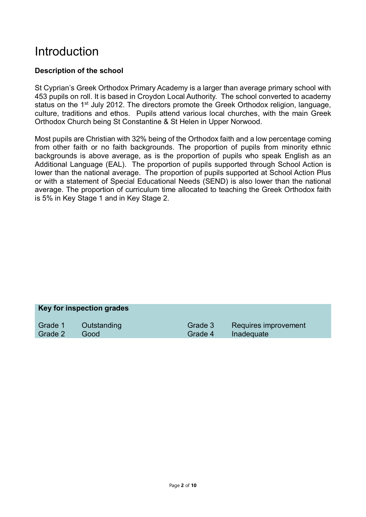## Introduction

### **Description of the school**

St Cyprian's Greek Orthodox Primary Academy is a larger than average primary school with 453 pupils on roll. It is based in Croydon Local Authority. The school converted to academy status on the 1<sup>st</sup> July 2012. The directors promote the Greek Orthodox religion, language, culture, traditions and ethos. Pupils attend various local churches, with the main Greek Orthodox Church being St Constantine & St Helen in Upper Norwood.

Most pupils are Christian with 32% being of the Orthodox faith and a low percentage coming from other faith or no faith backgrounds. The proportion of pupils from minority ethnic backgrounds is above average, as is the proportion of pupils who speak English as an Additional Language (EAL). The proportion of pupils supported through School Action is lower than the national average. The proportion of pupils supported at School Action Plus or with a statement of Special Educational Needs (SEND) is also lower than the national average. The proportion of curriculum time allocated to teaching the Greek Orthodox faith is 5% in Key Stage 1 and in Key Stage 2.

#### **Key for inspection grades**

Grade 1 Outstanding Grade 3 Requires improvement Grade 2 Good Grade 4 Inadequate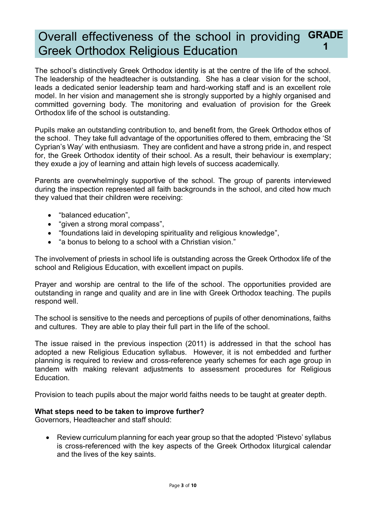#### Overall effectiveness of the school in providing Greek Orthodox Religious Education **GRADE 1**

The school's distinctively Greek Orthodox identity is at the centre of the life of the school. The leadership of the headteacher is outstanding. She has a clear vision for the school, leads a dedicated senior leadership team and hard-working staff and is an excellent role model. In her vision and management she is strongly supported by a highly organised and committed governing body. The monitoring and evaluation of provision for the Greek Orthodox life of the school is outstanding.

Pupils make an outstanding contribution to, and benefit from, the Greek Orthodox ethos of the school. They take full advantage of the opportunities offered to them, embracing the 'St Cyprian's Way' with enthusiasm. They are confident and have a strong pride in, and respect for, the Greek Orthodox identity of their school. As a result, their behaviour is exemplary; they exude a joy of learning and attain high levels of success academically.

Parents are overwhelmingly supportive of the school. The group of parents interviewed during the inspection represented all faith backgrounds in the school, and cited how much they valued that their children were receiving:

- "balanced education",
- "given a strong moral compass",
- "foundations laid in developing spirituality and religious knowledge",
- "a bonus to belong to a school with a Christian vision."

The involvement of priests in school life is outstanding across the Greek Orthodox life of the school and Religious Education, with excellent impact on pupils.

Prayer and worship are central to the life of the school. The opportunities provided are outstanding in range and quality and are in line with Greek Orthodox teaching. The pupils respond well.

The school is sensitive to the needs and perceptions of pupils of other denominations, faiths and cultures. They are able to play their full part in the life of the school.

The issue raised in the previous inspection (2011) is addressed in that the school has adopted a new Religious Education syllabus. However, it is not embedded and further planning is required to review and cross-reference yearly schemes for each age group in tandem with making relevant adjustments to assessment procedures for Religious Education.

Provision to teach pupils about the major world faiths needs to be taught at greater depth.

#### **What steps need to be taken to improve further?**

Governors, Headteacher and staff should:

• Review curriculum planning for each year group so that the adopted 'Pistevo' syllabus is cross-referenced with the key aspects of the Greek Orthodox liturgical calendar and the lives of the key saints.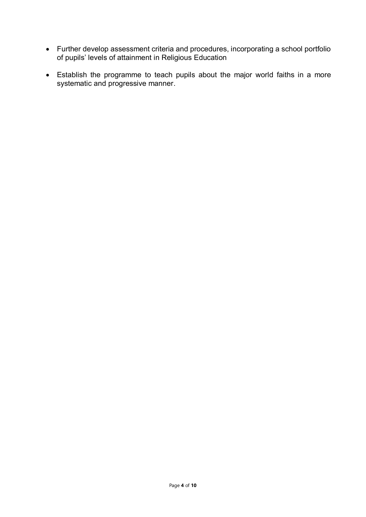- Further develop assessment criteria and procedures, incorporating a school portfolio of pupils' levels of attainment in Religious Education
- Establish the programme to teach pupils about the major world faiths in a more systematic and progressive manner.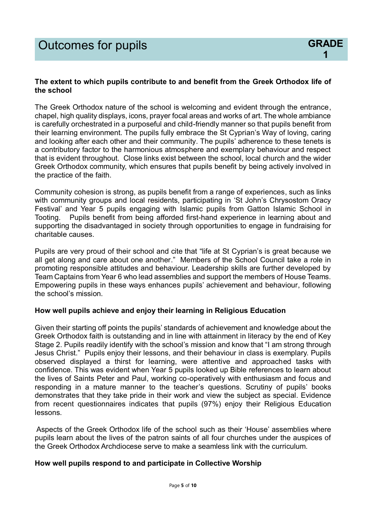#### **The extent to which pupils contribute to and benefit from the Greek Orthodox life of the school**

The Greek Orthodox nature of the school is welcoming and evident through the entrance, chapel, high quality displays, icons, prayer focal areas and works of art. The whole ambiance is carefully orchestrated in a purposeful and child-friendly manner so that pupils benefit from their learning environment. The pupils fully embrace the St Cyprian's Way of loving, caring and looking after each other and their community. The pupils' adherence to these tenets is a contributory factor to the harmonious atmosphere and exemplary behaviour and respect that is evident throughout. Close links exist between the school, local church and the wider Greek Orthodox community, which ensures that pupils benefit by being actively involved in the practice of the faith.

Community cohesion is strong, as pupils benefit from a range of experiences, such as links with community groups and local residents, participating in 'St John's Chrysostom Oracy Festival' and Year 5 pupils engaging with Islamic pupils from Gatton Islamic School in Tooting. Pupils benefit from being afforded first-hand experience in learning about and supporting the disadvantaged in society through opportunities to engage in fundraising for charitable causes.

Pupils are very proud of their school and cite that "life at St Cyprian's is great because we all get along and care about one another." Members of the School Council take a role in promoting responsible attitudes and behaviour. Leadership skills are further developed by Team Captains from Year 6 who lead assemblies and support the members of House Teams. Empowering pupils in these ways enhances pupils' achievement and behaviour, following the school's mission.

#### **How well pupils achieve and enjoy their learning in Religious Education**

Given their starting off points the pupils' standards of achievement and knowledge about the Greek Orthodox faith is outstanding and in line with attainment in literacy by the end of Key Stage 2. Pupils readily identify with the school's mission and know that "I am strong through Jesus Christ." Pupils enjoy their lessons, and their behaviour in class is exemplary. Pupils observed displayed a thirst for learning, were attentive and approached tasks with confidence. This was evident when Year 5 pupils looked up Bible references to learn about the lives of Saints Peter and Paul, working co-operatively with enthusiasm and focus and responding in a mature manner to the teacher's questions. Scrutiny of pupils' books demonstrates that they take pride in their work and view the subject as special. Evidence from recent questionnaires indicates that pupils (97%) enjoy their Religious Education lessons.

Aspects of the Greek Orthodox life of the school such as their 'House' assemblies where pupils learn about the lives of the patron saints of all four churches under the auspices of the Greek Orthodox Archdiocese serve to make a seamless link with the curriculum.

#### **How well pupils respond to and participate in Collective Worship**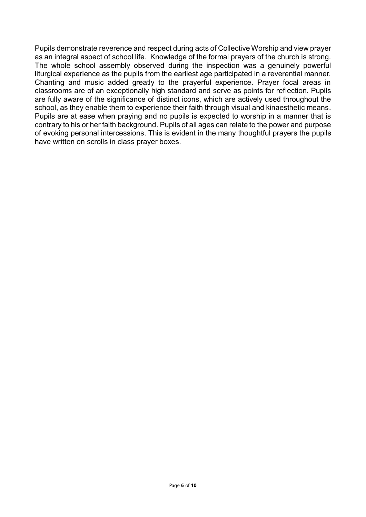Pupils demonstrate reverence and respect during acts of Collective Worship and view prayer as an integral aspect of school life. Knowledge of the formal prayers of the church is strong. The whole school assembly observed during the inspection was a genuinely powerful liturgical experience as the pupils from the earliest age participated in a reverential manner. Chanting and music added greatly to the prayerful experience. Prayer focal areas in classrooms are of an exceptionally high standard and serve as points for reflection. Pupils are fully aware of the significance of distinct icons, which are actively used throughout the school, as they enable them to experience their faith through visual and kinaesthetic means. Pupils are at ease when praying and no pupils is expected to worship in a manner that is contrary to his or her faith background. Pupils of all ages can relate to the power and purpose of evoking personal intercessions. This is evident in the many thoughtful prayers the pupils have written on scrolls in class prayer boxes.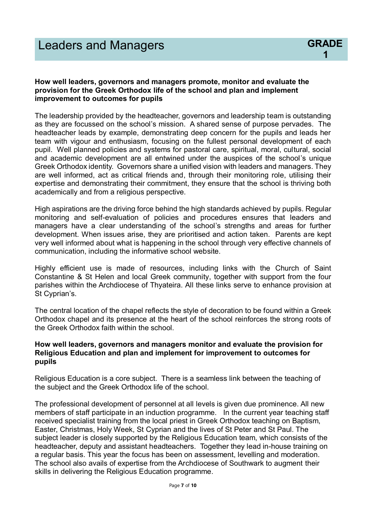#### **How well leaders, governors and managers promote, monitor and evaluate the provision for the Greek Orthodox life of the school and plan and implement improvement to outcomes for pupils**

The leadership provided by the headteacher, governors and leadership team is outstanding as they are focussed on the school's mission. A shared sense of purpose pervades. The headteacher leads by example, demonstrating deep concern for the pupils and leads her team with vigour and enthusiasm, focusing on the fullest personal development of each pupil. Well planned policies and systems for pastoral care, spiritual, moral, cultural, social and academic development are all entwined under the auspices of the school's unique Greek Orthodox identity. Governors share a unified vision with leaders and managers. They are well informed, act as critical friends and, through their monitoring role, utilising their expertise and demonstrating their commitment, they ensure that the school is thriving both academically and from a religious perspective.

High aspirations are the driving force behind the high standards achieved by pupils. Regular monitoring and self-evaluation of policies and procedures ensures that leaders and managers have a clear understanding of the school's strengths and areas for further development. When issues arise, they are prioritised and action taken. Parents are kept very well informed about what is happening in the school through very effective channels of communication, including the informative school website.

Highly efficient use is made of resources, including links with the Church of Saint Constantine & St Helen and local Greek community, together with support from the four parishes within the Archdiocese of Thyateira. All these links serve to enhance provision at St Cyprian's.

The central location of the chapel reflects the style of decoration to be found within a Greek Orthodox chapel and its presence at the heart of the school reinforces the strong roots of the Greek Orthodox faith within the school.

#### **How well leaders, governors and managers monitor and evaluate the provision for Religious Education and plan and implement for improvement to outcomes for pupils**

Religious Education is a core subject. There is a seamless link between the teaching of the subject and the Greek Orthodox life of the school.

The professional development of personnel at all levels is given due prominence. All new members of staff participate in an induction programme. In the current year teaching staff received specialist training from the local priest in Greek Orthodox teaching on Baptism, Easter, Christmas, Holy Week, St Cyprian and the lives of St Peter and St Paul. The subject leader is closely supported by the Religious Education team, which consists of the headteacher, deputy and assistant headteachers. Together they lead in-house training on a regular basis. This year the focus has been on assessment, levelling and moderation. The school also avails of expertise from the Archdiocese of Southwark to augment their skills in delivering the Religious Education programme.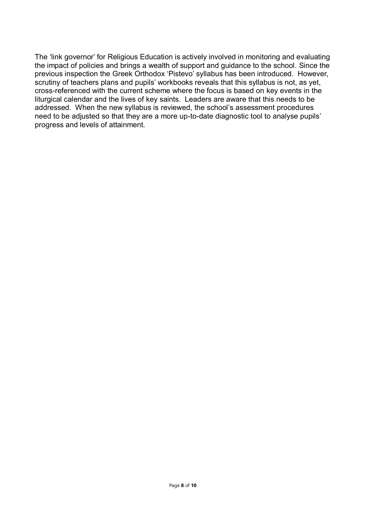The 'link governor' for Religious Education is actively involved in monitoring and evaluating the impact of policies and brings a wealth of support and guidance to the school. Since the previous inspection the Greek Orthodox 'Pistevo' syllabus has been introduced. However, scrutiny of teachers plans and pupils' workbooks reveals that this syllabus is not, as yet, cross-referenced with the current scheme where the focus is based on key events in the liturgical calendar and the lives of key saints. Leaders are aware that this needs to be addressed. When the new syllabus is reviewed, the school's assessment procedures need to be adjusted so that they are a more up-to-date diagnostic tool to analyse pupils' progress and levels of attainment.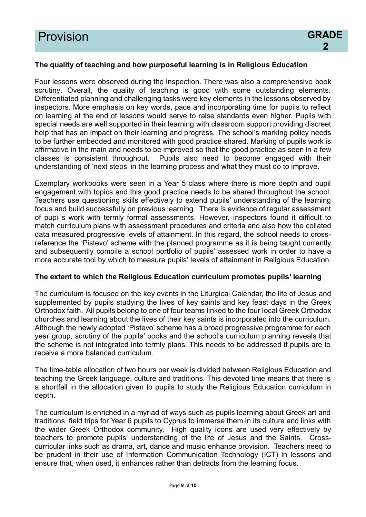#### **The quality of teaching and how purposeful learning is in Religious Education**

Four lessons were observed during the inspection. There was also a comprehensive book scrutiny. Overall, the quality of teaching is good with some outstanding elements. Differentiated planning and challenging tasks were key elements in the lessons observed by inspectors. More emphasis on key words, pace and incorporating time for pupils to reflect on learning at the end of lessons would serve to raise standards even higher. Pupils with special needs are well supported in their learning with classroom support providing discreet help that has an impact on their learning and progress. The school's marking policy needs to be further embedded and monitored with good practice shared. Marking of pupils work is affirmative in the main and needs to be improved so that the good practice as seen in a few classes is consistent throughout. Pupils also need to become engaged with their understanding of 'next steps' in the learning process and what they must do to improve.

Exemplary workbooks were seen in a Year 5 class where there is more depth and pupil engagement with topics and this good practice needs to be shared throughout the school. Teachers use questioning skills effectively to extend pupils' understanding of the learning focus and build successfully on previous learning. There is evidence of regular assessment of pupil's work with termly formal assessments. However, inspectors found it difficult to match curriculum plans with assessment procedures and criteria and also how the collated data measured progressive levels of attainment. In this regard, the school needs to crossreference the 'Pistevo' scheme with the planned programme as it is being taught currently and subsequently compile a school portfolio of pupils' assessed work in order to have a more accurate tool by which to measure pupils' levels of attainment in Religious Education.

#### **The extent to which the Religious Education curriculum promotes pupils' learning**

The curriculum is focused on the key events in the Liturgical Calendar, the life of Jesus and supplemented by pupils studying the lives of key saints and key feast days in the Greek Orthodox faith. All pupils belong to one of four teams linked to the four local Greek Orthodox churches and learning about the lives of their key saints is incorporated into the curriculum. Although the newly adopted 'Pistevo' scheme has a broad progressive programme for each year group, scrutiny of the pupils' books and the school's curriculum planning reveals that the scheme is not integrated into termly plans. This needs to be addressed if pupils are to receive a more balanced curriculum.

The time-table allocation of two hours per week is divided between Religious Education and teaching the Greek language, culture and traditions. This devoted time means that there is a shortfall in the allocation given to pupils to study the Religious Education curriculum in depth.

The curriculum is enriched in a myriad of ways such as pupils learning about Greek art and traditions, field trips for Year 6 pupils to Cyprus to immerse them in its culture and links with the wider Greek Orthodox community. High quality icons are used very effectively by teachers to promote pupils' understanding of the life of Jesus and the Saints. Crosscurricular links such as drama, art, dance and music enhance provision. Teachers need to be prudent in their use of Information Communication Technology (ICT) in lessons and ensure that, when used, it enhances rather than detracts from the learning focus.